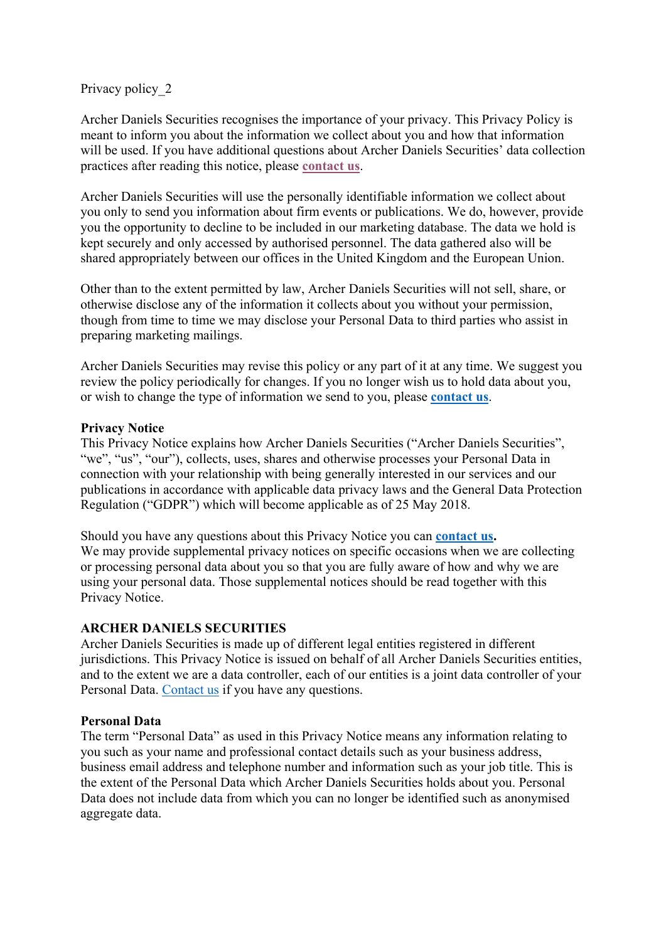## Privacy policy 2

Archer Daniels Securities recognises the importance of your privacy. This Privacy Policy is meant to inform you about the information we collect about you and how that information will be used. If you have additional questions about Archer Daniels Securities' data collection practices after reading this notice, please **contact us**.

Archer Daniels Securities will use the personally identifiable information we collect about you only to send you information about firm events or publications. We do, however, provide you the opportunity to decline to be included in our marketing database. The data we hold is kept securely and only accessed by authorised personnel. The data gathered also will be shared appropriately between our offices in the United Kingdom and the European Union.

Other than to the extent permitted by law, Archer Daniels Securities will not sell, share, or otherwise disclose any of the information it collects about you without your permission, though from time to time we may disclose your Personal Data to third parties who assist in preparing marketing mailings.

Archer Daniels Securities may revise this policy or any part of it at any time. We suggest you review the policy periodically for changes. If you no longer wish us to hold data about you, or wish to change the type of information we send to you, please **contact us**.

### **Privacy Notice**

This Privacy Notice explains how Archer Daniels Securities ("Archer Daniels Securities", "we", "us", "our"), collects, uses, shares and otherwise processes your Personal Data in connection with your relationship with being generally interested in our services and our publications in accordance with applicable data privacy laws and the General Data Protection Regulation ("GDPR") which will become applicable as of 25 May 2018.

Should you have any questions about this Privacy Notice you can **contact us.** We may provide supplemental privacy notices on specific occasions when we are collecting or processing personal data about you so that you are fully aware of how and why we are using your personal data. Those supplemental notices should be read together with this Privacy Notice.

# **ARCHER DANIELS SECURITIES**

Archer Daniels Securities is made up of different legal entities registered in different jurisdictions. This Privacy Notice is issued on behalf of all Archer Daniels Securities entities, and to the extent we are a data controller, each of our entities is a joint data controller of your Personal Data. Contact us if you have any questions.

### **Personal Data**

The term "Personal Data" as used in this Privacy Notice means any information relating to you such as your name and professional contact details such as your business address, business email address and telephone number and information such as your job title. This is the extent of the Personal Data which Archer Daniels Securities holds about you. Personal Data does not include data from which you can no longer be identified such as anonymised aggregate data.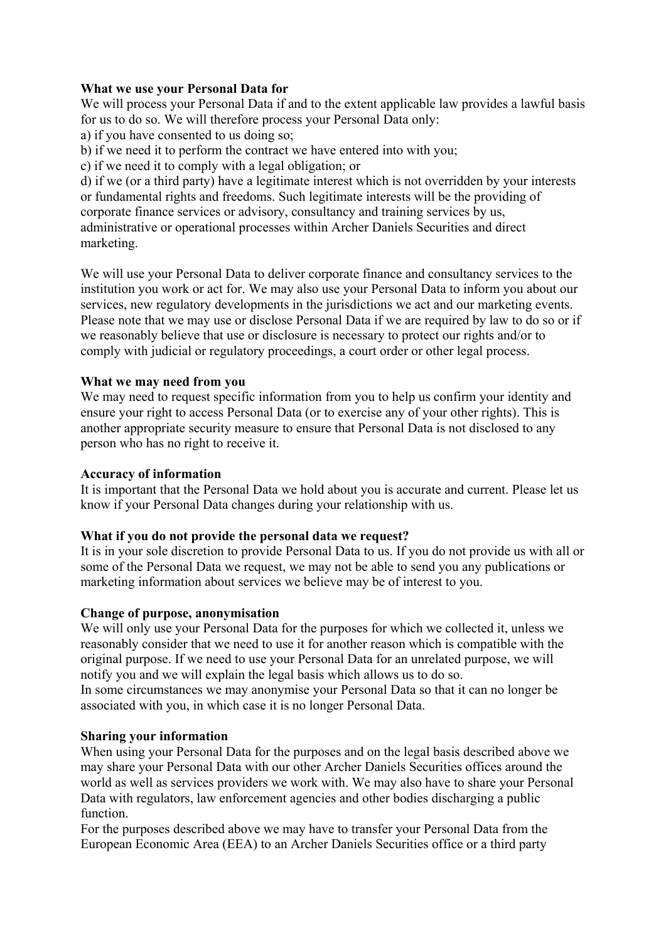# **What we use your Personal Data for**

We will process your Personal Data if and to the extent applicable law provides a lawful basis for us to do so. We will therefore process your Personal Data only:

a) if you have consented to us doing so;

b) if we need it to perform the contract we have entered into with you;

c) if we need it to comply with a legal obligation; or

d) if we (or a third party) have a legitimate interest which is not overridden by your interests or fundamental rights and freedoms. Such legitimate interests will be the providing of corporate finance services or advisory, consultancy and training services by us, administrative or operational processes within Archer Daniels Securities and direct marketing.

We will use your Personal Data to deliver corporate finance and consultancy services to the institution you work or act for. We may also use your Personal Data to inform you about our services, new regulatory developments in the jurisdictions we act and our marketing events. Please note that we may use or disclose Personal Data if we are required by law to do so or if we reasonably believe that use or disclosure is necessary to protect our rights and/or to comply with judicial or regulatory proceedings, a court order or other legal process.

## **What we may need from you**

We may need to request specific information from you to help us confirm your identity and ensure your right to access Personal Data (or to exercise any of your other rights). This is another appropriate security measure to ensure that Personal Data is not disclosed to any person who has no right to receive it.

## **Accuracy of information**

It is important that the Personal Data we hold about you is accurate and current. Please let us know if your Personal Data changes during your relationship with us.

# **What if you do not provide the personal data we request?**

It is in your sole discretion to provide Personal Data to us. If you do not provide us with all or some of the Personal Data we request, we may not be able to send you any publications or marketing information about services we believe may be of interest to you.

### **Change of purpose, anonymisation**

We will only use your Personal Data for the purposes for which we collected it, unless we reasonably consider that we need to use it for another reason which is compatible with the original purpose. If we need to use your Personal Data for an unrelated purpose, we will notify you and we will explain the legal basis which allows us to do so. In some circumstances we may anonymise your Personal Data so that it can no longer be associated with you, in which case it is no longer Personal Data.

### **Sharing your information**

When using your Personal Data for the purposes and on the legal basis described above we may share your Personal Data with our other Archer Daniels Securities offices around the world as well as services providers we work with. We may also have to share your Personal Data with regulators, law enforcement agencies and other bodies discharging a public function.

For the purposes described above we may have to transfer your Personal Data from the European Economic Area (EEA) to an Archer Daniels Securities office or a third party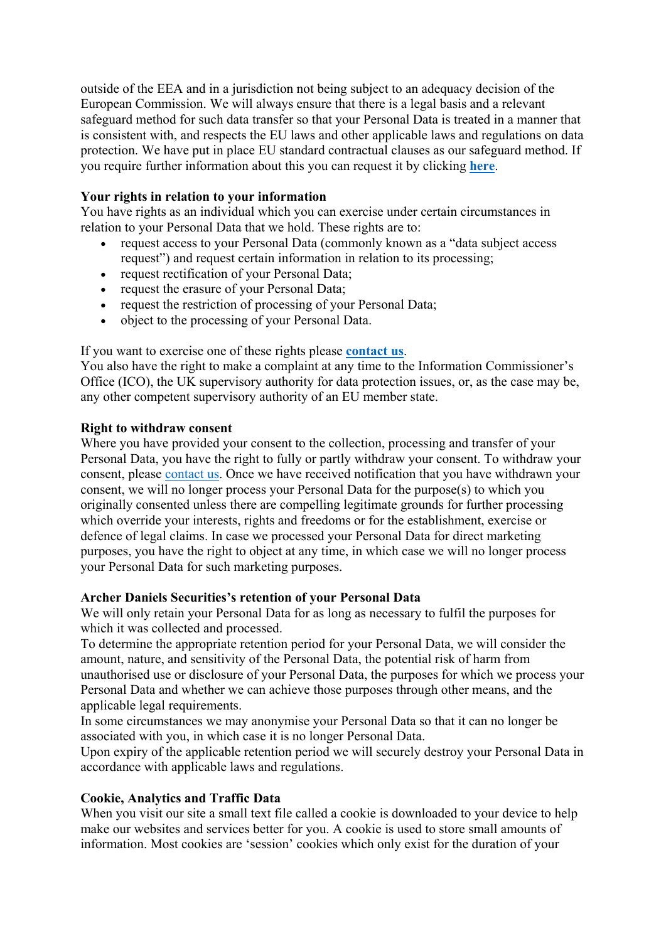outside of the EEA and in a jurisdiction not being subject to an adequacy decision of the European Commission. We will always ensure that there is a legal basis and a relevant safeguard method for such data transfer so that your Personal Data is treated in a manner that is consistent with, and respects the EU laws and other applicable laws and regulations on data protection. We have put in place EU standard contractual clauses as our safeguard method. If you require further information about this you can request it by clicking **here**.

## **Your rights in relation to your information**

You have rights as an individual which you can exercise under certain circumstances in relation to your Personal Data that we hold. These rights are to:

- request access to your Personal Data (commonly known as a "data subject access request") and request certain information in relation to its processing;
- request rectification of your Personal Data;
- request the erasure of your Personal Data;
- request the restriction of processing of your Personal Data;
- object to the processing of your Personal Data.

# If you want to exercise one of these rights please **contact us**.

You also have the right to make a complaint at any time to the Information Commissioner's Office (ICO), the UK supervisory authority for data protection issues, or, as the case may be, any other competent supervisory authority of an EU member state.

## **Right to withdraw consent**

Where you have provided your consent to the collection, processing and transfer of your Personal Data, you have the right to fully or partly withdraw your consent. To withdraw your consent, please contact us. Once we have received notification that you have withdrawn your consent, we will no longer process your Personal Data for the purpose(s) to which you originally consented unless there are compelling legitimate grounds for further processing which override your interests, rights and freedoms or for the establishment, exercise or defence of legal claims. In case we processed your Personal Data for direct marketing purposes, you have the right to object at any time, in which case we will no longer process your Personal Data for such marketing purposes.

# **Archer Daniels Securities's retention of your Personal Data**

We will only retain your Personal Data for as long as necessary to fulfil the purposes for which it was collected and processed.

To determine the appropriate retention period for your Personal Data, we will consider the amount, nature, and sensitivity of the Personal Data, the potential risk of harm from unauthorised use or disclosure of your Personal Data, the purposes for which we process your Personal Data and whether we can achieve those purposes through other means, and the applicable legal requirements.

In some circumstances we may anonymise your Personal Data so that it can no longer be associated with you, in which case it is no longer Personal Data.

Upon expiry of the applicable retention period we will securely destroy your Personal Data in accordance with applicable laws and regulations.

# **Cookie, Analytics and Traffic Data**

When you visit our site a small text file called a cookie is downloaded to your device to help make our websites and services better for you. A cookie is used to store small amounts of information. Most cookies are 'session' cookies which only exist for the duration of your